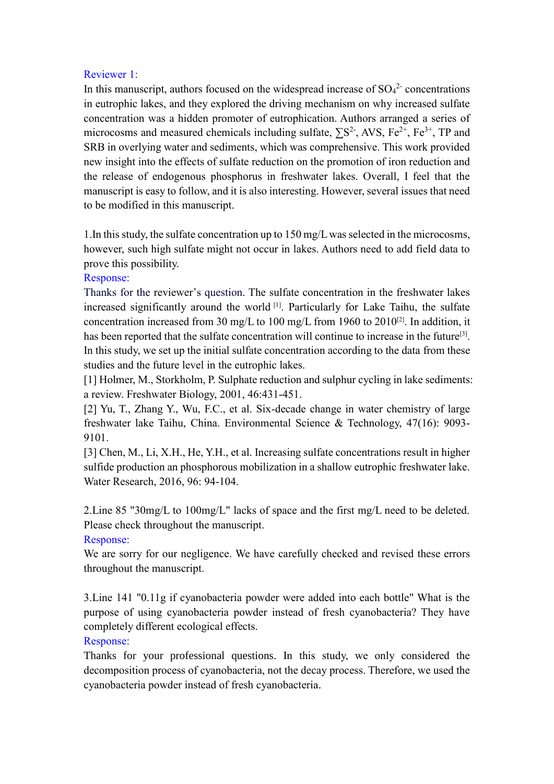## Reviewer 1:

In this manuscript, authors focused on the widespread increase of  $SO_4^2$  concentrations in eutrophic lakes, and they explored the driving mechanism on why increased sulfate concentration was a hidden promoter of eutrophication. Authors arranged a series of microcosms and measured chemicals including sulfate,  $\sum S^2$ , AVS, Fe<sup>2+</sup>, Fe<sup>3+</sup>, TP and SRB in overlying water and sediments, which was comprehensive. This work provided new insight into the effects of sulfate reduction on the promotion of iron reduction and the release of endogenous phosphorus in freshwater lakes. Overall, I feel that the manuscript is easy to follow, and it is also interesting. However, several issues that need to be modified in this manuscript.

1.In this study, the sulfate concentration up to 150 mg/L was selected in the microcosms, however, such high sulfate might not occur in lakes. Authors need to add field data to prove this possibility.

## Response:

Thanks for the reviewer's question. The sulfate concentration in the freshwater lakes increased significantly around the world [1] . Particularly for Lake Taihu, the sulfate concentration increased from 30 mg/L to 100 mg/L from 1960 to 2010<sup>[2]</sup>. In addition, it has been reported that the sulfate concentration will continue to increase in the future<sup>[3]</sup>. In this study, we set up the initial sulfate concentration according to the data from these studies and the future level in the eutrophic lakes.

[1] Holmer, M., Storkholm, P. Sulphate reduction and sulphur cycling in lake sediments: a review. Freshwater Biology, 2001, 46:431-451.

[2] Yu, T., Zhang Y., Wu, F.C., et al. Six-decade change in water chemistry of large freshwater lake Taihu, China. Environmental Science & Technology, 47(16): 9093- 9101.

[3] Chen, M., Li, X.H., He, Y.H., et al. Increasing sulfate concentrations result in higher sulfide production an phosphorous mobilization in a shallow eutrophic freshwater lake. Water Research, 2016, 96: 94-104.

2.Line 85 "30mg/L to 100mg/L" lacks of space and the first mg/L need to be deleted. Please check throughout the manuscript.

#### Response:

We are sorry for our negligence. We have carefully checked and revised these errors throughout the manuscript.

3.Line 141 "0.11g if cyanobacteria powder were added into each bottle" What is the purpose of using cyanobacteria powder instead of fresh cyanobacteria? They have completely different ecological effects.

#### Response:

Thanks for your professional questions. In this study, we only considered the decomposition process of cyanobacteria, not the decay process. Therefore, we used the cyanobacteria powder instead of fresh cyanobacteria.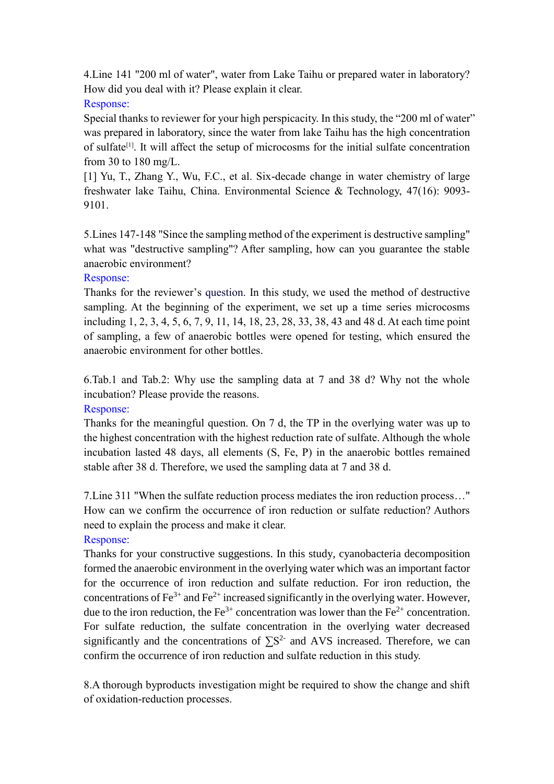4.Line 141 "200 ml of water", water from Lake Taihu or prepared water in laboratory? How did you deal with it? Please explain it clear.

## Response:

Special thanks to reviewer for your high perspicacity. In this study, the "200 ml of water" was prepared in laboratory, since the water from lake Taihu has the high concentration of sulfate<sup>[1]</sup>. It will affect the setup of microcosms for the initial sulfate concentration from 30 to 180 mg/L.

[1] Yu, T., Zhang Y., Wu, F.C., et al. Six-decade change in water chemistry of large freshwater lake Taihu, China. Environmental Science & Technology, 47(16): 9093- 9101.

5.Lines 147-148 "Since the sampling method of the experiment is destructive sampling" what was "destructive sampling"? After sampling, how can you guarantee the stable anaerobic environment?

# Response:

Thanks for the reviewer's question. In this study, we used the method of destructive sampling. At the beginning of the experiment, we set up a time series microcosms including 1, 2, 3, 4, 5, 6, 7, 9, 11, 14, 18, 23, 28, 33, 38, 43 and 48 d. At each time point of sampling, a few of anaerobic bottles were opened for testing, which ensured the anaerobic environment for other bottles.

6.Tab.1 and Tab.2: Why use the sampling data at 7 and 38 d? Why not the whole incubation? Please provide the reasons.

# Response:

Thanks for the meaningful question. On 7 d, the TP in the overlying water was up to the highest concentration with the highest reduction rate of sulfate. Although the whole incubation lasted 48 days, all elements (S, Fe, P) in the anaerobic bottles remained stable after 38 d. Therefore, we used the sampling data at 7 and 38 d.

7.Line 311 "When the sulfate reduction process mediates the iron reduction process…" How can we confirm the occurrence of iron reduction or sulfate reduction? Authors need to explain the process and make it clear.

# Response:

Thanks for your constructive suggestions. In this study, cyanobacteria decomposition formed the anaerobic environment in the overlying water which was an important factor for the occurrence of iron reduction and sulfate reduction. For iron reduction, the concentrations of  $\text{Fe}^{3+}$  and  $\text{Fe}^{2+}$  increased significantly in the overlying water. However, due to the iron reduction, the  $Fe^{3+}$  concentration was lower than the  $Fe^{2+}$  concentration. For sulfate reduction, the sulfate concentration in the overlying water decreased significantly and the concentrations of  $\sum S^2$  and AVS increased. Therefore, we can confirm the occurrence of iron reduction and sulfate reduction in this study.

8.A thorough byproducts investigation might be required to show the change and shift of oxidation-reduction processes.